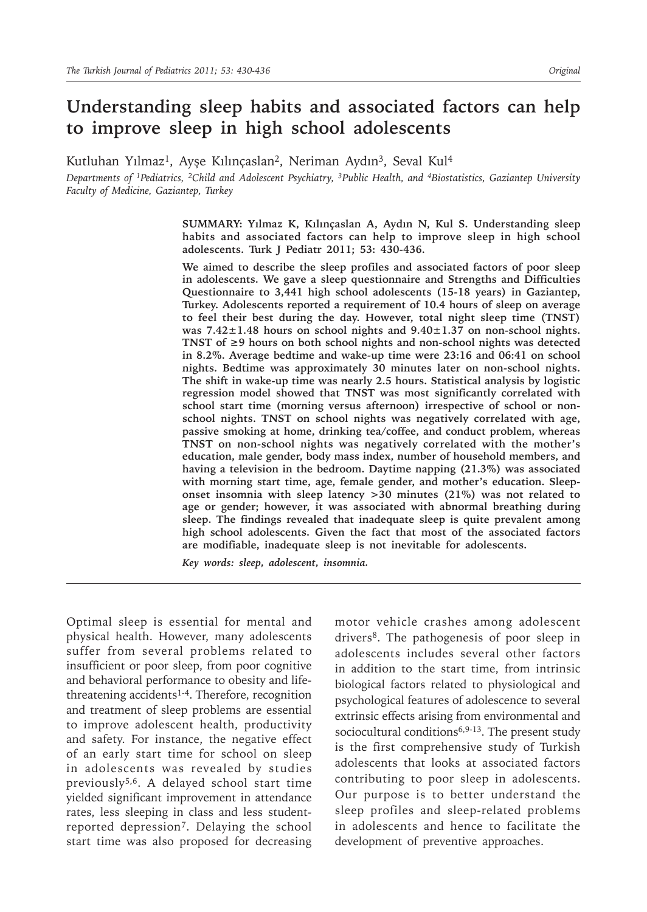# **Understanding sleep habits and associated factors can help to improve sleep in high school adolescents**

Kutluhan Yılmaz<sup>1</sup>, Ayşe Kılınçaslan<sup>2</sup>, Neriman Aydın<sup>3</sup>, Seval Kul<sup>4</sup>

*Departments of 1Pediatrics, 2Child and Adolescent Psychiatry, 3Public Health, and 4Biostatistics, Gaziantep University Faculty of Medicine, Gaziantep, Turkey*

> **SUMMARY: Yılmaz K, Kılınçaslan A, Aydın N, Kul S. Understanding sleep habits and associated factors can help to improve sleep in high school adolescents. Turk J Pediatr 2011; 53: 430-436.**

> **We aimed to describe the sleep profiles and associated factors of poor sleep in adolescents. We gave a sleep questionnaire and Strengths and Difficulties Questionnaire to 3,441 high school adolescents (15-18 years) in Gaziantep, Turkey. Adolescents reported a requirement of 10.4 hours of sleep on average to feel their best during the day. However, total night sleep time (TNST) was 7.42±1.48 hours on school nights and 9.40±1.37 on non-school nights. TNST of ≥9 hours on both school nights and non-school nights was detected in 8.2%. Average bedtime and wake-up time were 23:16 and 06:41 on school nights. Bedtime was approximately 30 minutes later on non-school nights. The shift in wake-up time was nearly 2.5 hours. Statistical analysis by logistic regression model showed that TNST was most significantly correlated with school start time (morning versus afternoon) irrespective of school or nonschool nights. TNST on school nights was negatively correlated with age, passive smoking at home, drinking tea/coffee, and conduct problem, whereas TNST on non-school nights was negatively correlated with the mother's education, male gender, body mass index, number of household members, and having a television in the bedroom. Daytime napping (21.3%) was associated with morning start time, age, female gender, and mother's education. Sleeponset insomnia with sleep latency >30 minutes (21%) was not related to age or gender; however, it was associated with abnormal breathing during sleep. The findings revealed that inadequate sleep is quite prevalent among high school adolescents. Given the fact that most of the associated factors are modifiable, inadequate sleep is not inevitable for adolescents.**

*Key words: sleep, adolescent, insomnia.*

Optimal sleep is essential for mental and physical health. However, many adolescents suffer from several problems related to insufficient or poor sleep, from poor cognitive and behavioral performance to obesity and lifethreatening accidents<sup>1-4</sup>. Therefore, recognition and treatment of sleep problems are essential to improve adolescent health, productivity and safety. For instance, the negative effect of an early start time for school on sleep in adolescents was revealed by studies previously5,6. A delayed school start time yielded significant improvement in attendance rates, less sleeping in class and less studentreported depression7. Delaying the school start time was also proposed for decreasing

motor vehicle crashes among adolescent drivers<sup>8</sup>. The pathogenesis of poor sleep in adolescents includes several other factors in addition to the start time, from intrinsic biological factors related to physiological and psychological features of adolescence to several extrinsic effects arising from environmental and sociocultural conditions $6,9-13$ . The present study is the first comprehensive study of Turkish adolescents that looks at associated factors contributing to poor sleep in adolescents. Our purpose is to better understand the sleep profiles and sleep-related problems in adolescents and hence to facilitate the development of preventive approaches.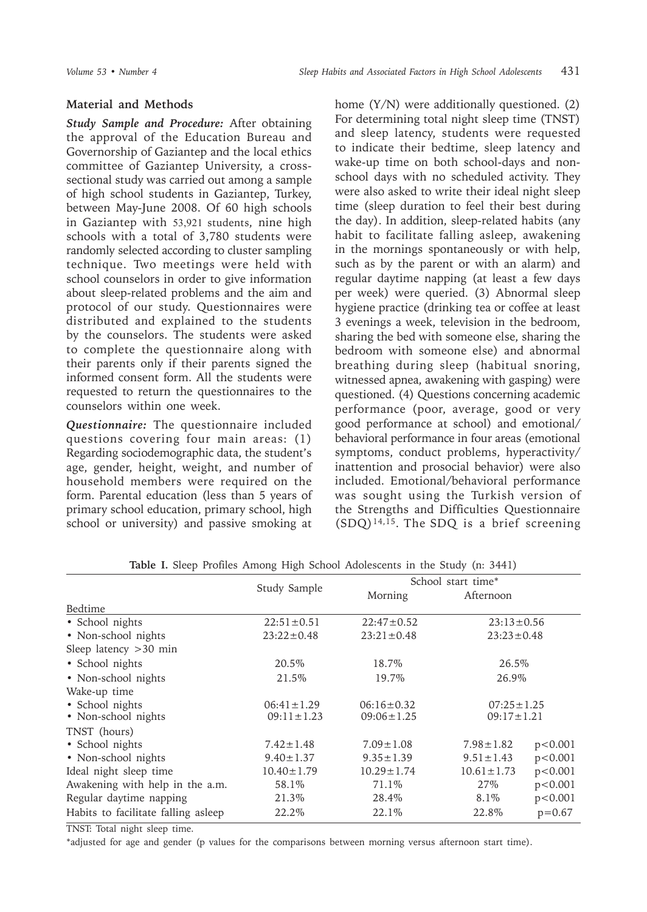## **Material and Methods**

*Study Sample and Procedure:* After obtaining the approval of the Education Bureau and Governorship of Gaziantep and the local ethics committee of Gaziantep University, a crosssectional study was carried out among a sample of high school students in Gaziantep, Turkey, between May-June 2008. Of 60 high schools in Gaziantep with 53,921 students, nine high schools with a total of 3,780 students were randomly selected according to cluster sampling technique. Two meetings were held with school counselors in order to give information about sleep-related problems and the aim and protocol of our study. Questionnaires were distributed and explained to the students by the counselors. The students were asked to complete the questionnaire along with their parents only if their parents signed the informed consent form. All the students were requested to return the questionnaires to the counselors within one week.

*Questionnaire:* The questionnaire included questions covering four main areas: (1) Regarding sociodemographic data, the student's age, gender, height, weight, and number of household members were required on the form. Parental education (less than 5 years of primary school education, primary school, high school or university) and passive smoking at

home (Y/N) were additionally questioned. (2) For determining total night sleep time (TNST) and sleep latency, students were requested to indicate their bedtime, sleep latency and wake-up time on both school-days and nonschool days with no scheduled activity. They were also asked to write their ideal night sleep time (sleep duration to feel their best during the day). In addition, sleep-related habits (any habit to facilitate falling asleep, awakening in the mornings spontaneously or with help, such as by the parent or with an alarm) and regular daytime napping (at least a few days per week) were queried. (3) Abnormal sleep hygiene practice (drinking tea or coffee at least 3 evenings a week, television in the bedroom, sharing the bed with someone else, sharing the bedroom with someone else) and abnormal breathing during sleep (habitual snoring, witnessed apnea, awakening with gasping) were questioned. (4) Questions concerning academic performance (poor, average, good or very good performance at school) and emotional/ behavioral performance in four areas (emotional symptoms, conduct problems, hyperactivity/ inattention and prosocial behavior) were also included. Emotional/behavioral performance was sought using the Turkish version of the Strengths and Difficulties Questionnaire  $(SDQ)^{14,15}$ . The SDQ is a brief screening

|                                     | Study Sample     | School start time* |                  |                  |  |
|-------------------------------------|------------------|--------------------|------------------|------------------|--|
|                                     |                  | Morning            | Afternoon        |                  |  |
| Bedtime                             |                  |                    |                  |                  |  |
| • School nights                     | $22:51 \pm 0.51$ | $22:47 \pm 0.52$   | $23:13 \pm 0.56$ |                  |  |
| • Non-school nights                 | $23:22 \pm 0.48$ | $23:21 \pm 0.48$   | $23:23 \pm 0.48$ |                  |  |
| Sleep latency $>30$ min             |                  |                    |                  |                  |  |
| • School nights                     | 20.5%            | 18.7%              | 26.5%            |                  |  |
| • Non-school nights                 | 21.5%            | 19.7%              | 26.9%            |                  |  |
| Wake-up time                        |                  |                    |                  |                  |  |
| • School nights                     | $06:41 \pm 1.29$ | $06:16 \pm 0.32$   |                  | $07:25 \pm 1.25$ |  |
| • Non-school nights                 | $09:11 \pm 1.23$ | $09:06 \pm 1.25$   | $09:17 \pm 1.21$ |                  |  |
| TNST (hours)                        |                  |                    |                  |                  |  |
| • School nights                     | $7.42 \pm 1.48$  | $7.09 \pm 1.08$    | $7.98 \pm 1.82$  | p < 0.001        |  |
| • Non-school nights                 | $9.40 \pm 1.37$  | $9.35 \pm 1.39$    | $9.51 \pm 1.43$  | p < 0.001        |  |
| Ideal night sleep time              | $10.40 \pm 1.79$ | $10.29 \pm 1.74$   | $10.61 \pm 1.73$ | p < 0.001        |  |
| Awakening with help in the a.m.     | 58.1%            | 71.1\%             | 27\%             | p < 0.001        |  |
| Regular daytime napping             | 21.3%            | 28.4%              | 8.1%             | p < 0.001        |  |
| Habits to facilitate falling asleep | 22.2%            | 22.1\%             | 22.8%            | $p = 0.67$       |  |

**Table I.** Sleep Profiles Among High School Adolescents in the Study (n: 3441)

TNST: Total night sleep time.

\*adjusted for age and gender (p values for the comparisons between morning versus afternoon start time).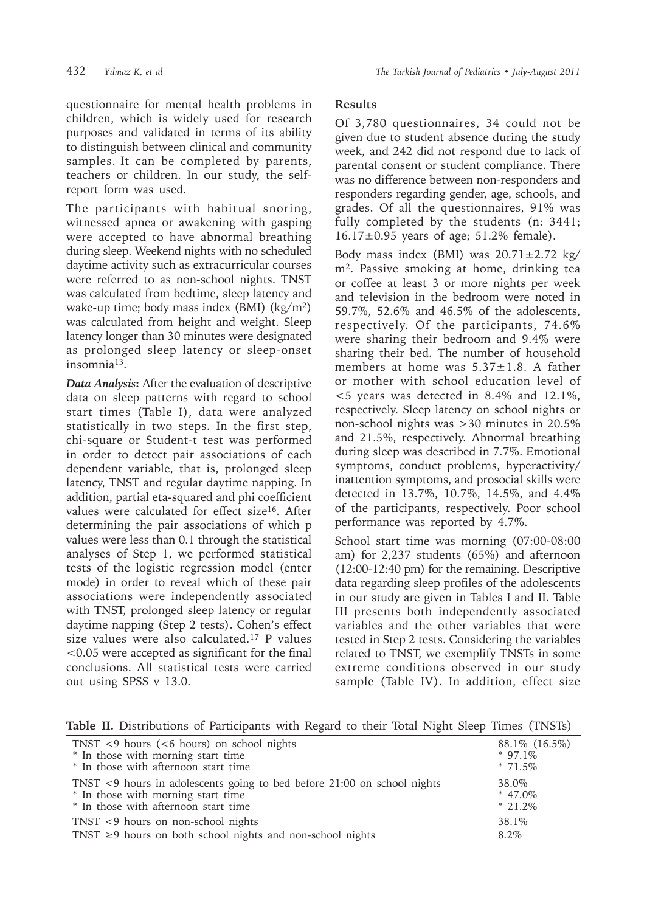questionnaire for mental health problems in children, which is widely used for research purposes and validated in terms of its ability to distinguish between clinical and community samples. It can be completed by parents, teachers or children. In our study, the selfreport form was used.

The participants with habitual snoring, witnessed apnea or awakening with gasping were accepted to have abnormal breathing during sleep. Weekend nights with no scheduled daytime activity such as extracurricular courses were referred to as non-school nights. TNST was calculated from bedtime, sleep latency and wake-up time; body mass index (BMI)  $(kg/m<sup>2</sup>)$ was calculated from height and weight. Sleep latency longer than 30 minutes were designated as prolonged sleep latency or sleep-onset insomnia13.

*Data Analysis***:** After the evaluation of descriptive data on sleep patterns with regard to school start times (Table I), data were analyzed statistically in two steps. In the first step, chi-square or Student-t test was performed in order to detect pair associations of each dependent variable, that is, prolonged sleep latency, TNST and regular daytime napping. In addition, partial eta-squared and phi coefficient values were calculated for effect size<sup>16</sup>. After determining the pair associations of which p values were less than 0.1 through the statistical analyses of Step 1, we performed statistical tests of the logistic regression model (enter mode) in order to reveal which of these pair associations were independently associated with TNST, prolonged sleep latency or regular daytime napping (Step 2 tests). Cohen's effect size values were also calculated.17 P values <0.05 were accepted as significant for the final conclusions. All statistical tests were carried out using SPSS v 13.0.

# **Results**

Of 3,780 questionnaires, 34 could not be given due to student absence during the study week, and 242 did not respond due to lack of parental consent or student compliance. There was no difference between non-responders and responders regarding gender, age, schools, and grades. Of all the questionnaires, 91% was fully completed by the students (n: 3441; 16.17±0.95 years of age; 51.2% female).

Body mass index (BMI) was  $20.71 \pm 2.72$  kg/ m2. Passive smoking at home, drinking tea or coffee at least 3 or more nights per week and television in the bedroom were noted in 59.7%, 52.6% and 46.5% of the adolescents, respectively. Of the participants, 74.6% were sharing their bedroom and 9.4% were sharing their bed. The number of household members at home was  $5.37 \pm 1.8$ . A father or mother with school education level of <5 years was detected in 8.4% and 12.1%, respectively. Sleep latency on school nights or non-school nights was >30 minutes in 20.5% and 21.5%, respectively. Abnormal breathing during sleep was described in 7.7%. Emotional symptoms, conduct problems, hyperactivity/ inattention symptoms, and prosocial skills were detected in 13.7%, 10.7%, 14.5%, and 4.4% of the participants, respectively. Poor school performance was reported by 4.7%.

School start time was morning (07:00-08:00 am) for 2,237 students (65%) and afternoon (12:00-12:40 pm) for the remaining. Descriptive data regarding sleep profiles of the adolescents in our study are given in Tables I and II. Table III presents both independently associated variables and the other variables that were tested in Step 2 tests. Considering the variables related to TNST, we exemplify TNSTs in some extreme conditions observed in our study sample (Table IV). In addition, effect size

**Table II.** Distributions of Participants with Regard to their Total Night Sleep Times (TNSTs)

| TNST $\leq$ 9 hours ( $\leq$ 6 hours) on school nights                        | 88.1\% (16.5\%) |
|-------------------------------------------------------------------------------|-----------------|
| * In those with morning start time                                            | $*$ 97 1\%      |
| * In those with afternoon start time                                          | $* 71.5\%$      |
| TNST $\leq$ 9 hours in adolescents going to bed before 21:00 on school nights | 38.0%           |
| * In those with morning start time                                            | $* 47.0\%$      |
| * In those with afternoon start time                                          | $*21.2\%$       |
| TNST <9 hours on non-school nights                                            | 38.1%           |
| TNST $\geq$ 9 hours on both school nights and non-school nights               | 8.2%            |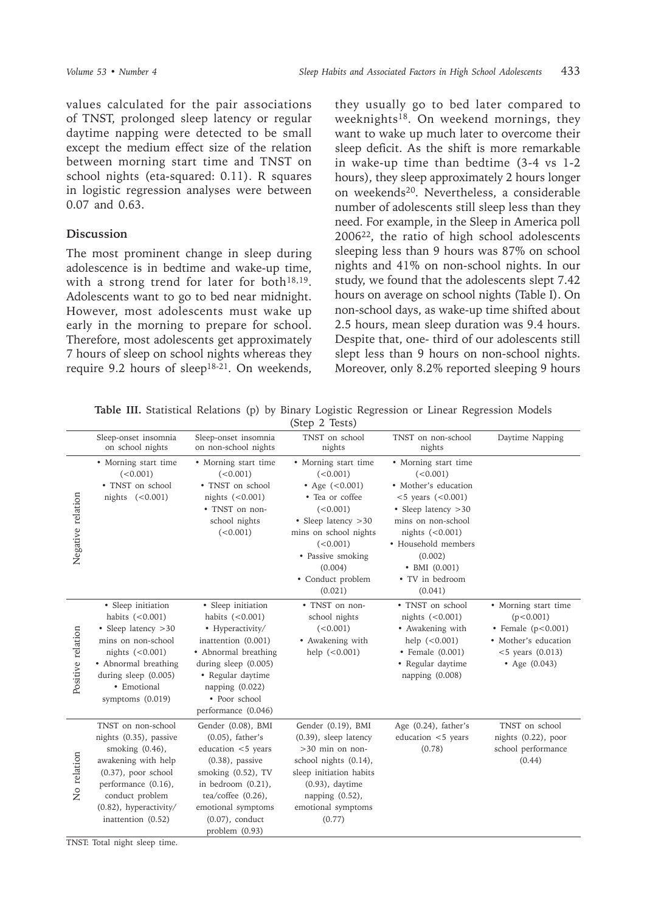values calculated for the pair associations of TNST, prolonged sleep latency or regular daytime napping were detected to be small except the medium effect size of the relation between morning start time and TNST on school nights (eta-squared: 0.11). R squares in logistic regression analyses were between 0.07 and 0.63.

### **Discussion**

The most prominent change in sleep during adolescence is in bedtime and wake-up time, with a strong trend for later for both $18,19$ . Adolescents want to go to bed near midnight. However, most adolescents must wake up early in the morning to prepare for school. Therefore, most adolescents get approximately 7 hours of sleep on school nights whereas they require 9.2 hours of sleep<sup>18-21</sup>. On weekends,

they usually go to bed later compared to weeknights<sup>18</sup>. On weekend mornings, they want to wake up much later to overcome their sleep deficit. As the shift is more remarkable in wake-up time than bedtime (3-4 vs 1-2 hours), they sleep approximately 2 hours longer on weekends20. Nevertheless, a considerable number of adolescents still sleep less than they need. For example, in the Sleep in America poll 200622, the ratio of high school adolescents sleeping less than 9 hours was 87% on school nights and 41% on non-school nights. In our study, we found that the adolescents slept 7.42 hours on average on school nights (Table I). On non-school days, as wake-up time shifted about 2.5 hours, mean sleep duration was 9.4 hours. Despite that, one- third of our adolescents still slept less than 9 hours on non-school nights. Moreover, only 8.2% reported sleeping 9 hours

**Table III.** Statistical Relations (p) by Binary Logistic Regression or Linear Regression Models

|                   |                                                                                                                                                                                                               |                                                                                                                                                                                                                               | (Step 2 Tests)                                                                                                                                                                                                   |                                                                                                                                                                                                                                                 |                                                                                                                             |
|-------------------|---------------------------------------------------------------------------------------------------------------------------------------------------------------------------------------------------------------|-------------------------------------------------------------------------------------------------------------------------------------------------------------------------------------------------------------------------------|------------------------------------------------------------------------------------------------------------------------------------------------------------------------------------------------------------------|-------------------------------------------------------------------------------------------------------------------------------------------------------------------------------------------------------------------------------------------------|-----------------------------------------------------------------------------------------------------------------------------|
|                   | Sleep-onset insomnia<br>on school nights                                                                                                                                                                      | Sleep-onset insomnia<br>on non-school nights                                                                                                                                                                                  | TNST on school<br>nights                                                                                                                                                                                         | TNST on non-school<br>nights                                                                                                                                                                                                                    | Daytime Napping                                                                                                             |
| Negative relation | • Morning start time<br>(<0.001)<br>• TNST on school<br>nights $(<0.001)$                                                                                                                                     | • Morning start time<br>(<0.001)<br>• TNST on school<br>nights (<0.001)<br>• TNST on non-<br>school nights<br>(<0.001)                                                                                                        | • Morning start time<br>(<0.001)<br>• Age $(<0.001)$<br>• Tea or coffee<br>(<0.001)<br>• Sleep latency > 30<br>mins on school nights<br>(<0.001)<br>• Passive smoking<br>(0.004)<br>• Conduct problem<br>(0.021) | • Morning start time<br>(<0.001)<br>· Mother's education<br>$< 5$ years $(< 0.001)$<br>• Sleep latency > 30<br>mins on non-school<br>nights $(<0.001)$<br>• Household members<br>(0.002)<br>$\bullet$ BMI (0.001)<br>• TV in bedroom<br>(0.041) |                                                                                                                             |
| Positive relation | • Sleep initiation<br>habits $(<0.001)$<br>• Sleep latency > 30<br>mins on non-school<br>nights $(<0.001)$<br>• Abnormal breathing<br>during sleep (0.005)<br>• Emotional<br>symptoms (0.019)                 | • Sleep initiation<br>habits $(<0.001)$<br>• Hyperactivity/<br>inattention (0.001)<br>• Abnormal breathing<br>during sleep (0.005)<br>• Regular daytime<br>napping $(0.022)$<br>• Poor school<br>performance (0.046)          | • TNST on non-<br>school nights<br>(<0.001)<br>• Awakening with<br>help $(<0.001)$                                                                                                                               | • TNST on school<br>nights $(<0.001)$<br>• Awakening with<br>help $(<0.001)$<br>• Female (0.001)<br>• Regular daytime<br>napping (0.008)                                                                                                        | • Morning start time<br>(p<0.001)<br>• Female $(p<0.001)$<br>• Mother's education<br>$< 5$ years $(0.013)$<br>• Age (0.043) |
| No relation       | TNST on non-school<br>nights (0.35), passive<br>smoking $(0.46)$ ,<br>awakening with help<br>$(0.37)$ , poor school<br>performance (0.16),<br>conduct problem<br>(0.82), hyperactivity/<br>inattention (0.52) | Gender (0.08), BMI<br>$(0.05)$ , father's<br>education <5 years<br>$(0.38)$ , passive<br>smoking (0.52), TV<br>in bedroom $(0.21)$ ,<br>tea/coffee $(0.26)$ ,<br>emotional symptoms<br>$(0.07)$ , conduct<br>problem $(0.93)$ | Gender (0.19), BMI<br>(0.39), sleep latency<br>$>30$ min on non-<br>school nights (0.14),<br>sleep initiation habits<br>$(0.93)$ , daytime<br>napping (0.52),<br>emotional symptoms<br>(0.77)                    | Age (0.24), father's<br>education <5 years<br>(0.78)                                                                                                                                                                                            | TNST on school<br>nights (0.22), poor<br>school performance<br>(0.44)                                                       |

TNST: Total night sleep time.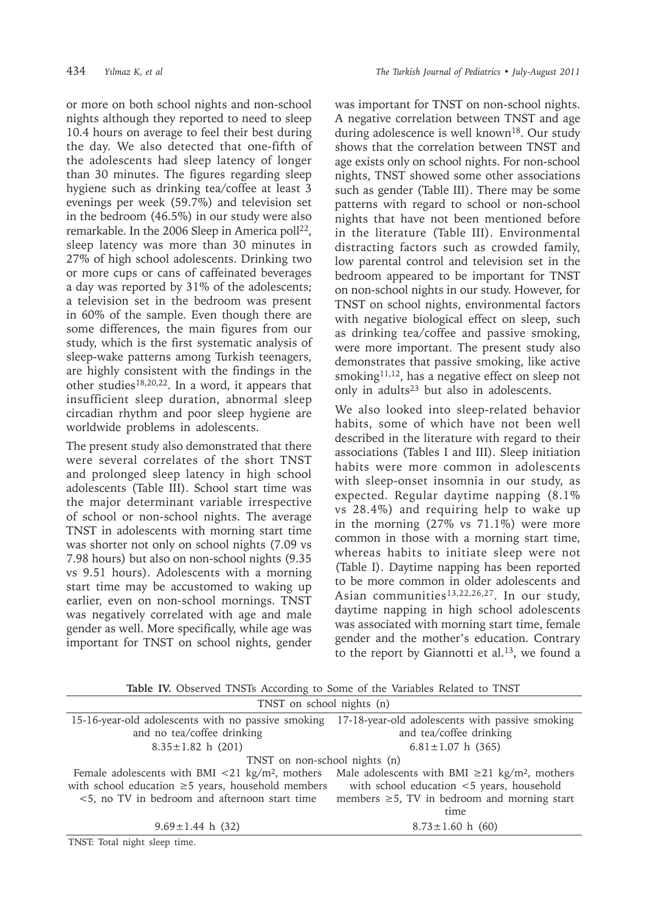or more on both school nights and non-school nights although they reported to need to sleep 10.4 hours on average to feel their best during the day. We also detected that one-fifth of the adolescents had sleep latency of longer than 30 minutes. The figures regarding sleep hygiene such as drinking tea/coffee at least 3 evenings per week (59.7%) and television set in the bedroom (46.5%) in our study were also remarkable. In the 2006 Sleep in America poll<sup>22</sup>, sleep latency was more than 30 minutes in 27% of high school adolescents. Drinking two or more cups or cans of caffeinated beverages a day was reported by 31% of the adolescents; a television set in the bedroom was present in 60% of the sample. Even though there are some differences, the main figures from our study, which is the first systematic analysis of sleep-wake patterns among Turkish teenagers, are highly consistent with the findings in the other studies18,20,22. In a word, it appears that insufficient sleep duration, abnormal sleep circadian rhythm and poor sleep hygiene are worldwide problems in adolescents.

The present study also demonstrated that there were several correlates of the short TNST and prolonged sleep latency in high school adolescents (Table III). School start time was the major determinant variable irrespective of school or non-school nights. The average TNST in adolescents with morning start time was shorter not only on school nights (7.09 vs 7.98 hours) but also on non-school nights (9.35 vs 9.51 hours). Adolescents with a morning start time may be accustomed to waking up earlier, even on non-school mornings. TNST was negatively correlated with age and male gender as well. More specifically, while age was important for TNST on school nights, gender

was important for TNST on non-school nights. A negative correlation between TNST and age during adolescence is well known<sup>18</sup>. Our study shows that the correlation between TNST and age exists only on school nights. For non-school nights, TNST showed some other associations such as gender (Table III). There may be some patterns with regard to school or non-school nights that have not been mentioned before in the literature (Table III). Environmental distracting factors such as crowded family, low parental control and television set in the bedroom appeared to be important for TNST on non-school nights in our study. However, for TNST on school nights, environmental factors with negative biological effect on sleep, such as drinking tea/coffee and passive smoking, were more important. The present study also demonstrates that passive smoking, like active smoking<sup>11,12</sup>, has a negative effect on sleep not only in adults23 but also in adolescents.

We also looked into sleep-related behavior habits, some of which have not been well described in the literature with regard to their associations (Tables I and III). Sleep initiation habits were more common in adolescents with sleep-onset insomnia in our study, as expected. Regular daytime napping (8.1% vs 28.4%) and requiring help to wake up in the morning (27% vs 71.1%) were more common in those with a morning start time, whereas habits to initiate sleep were not (Table I). Daytime napping has been reported to be more common in older adolescents and Asian communities<sup>13,22,26,27</sup>. In our study, daytime napping in high school adolescents was associated with morning start time, female gender and the mother's education. Contrary to the report by Giannotti et al.<sup>13</sup>, we found a

**Table IV.** Observed TNSTs According to Some of the Variables Related to TNST

| TNST on school nights (n)                                                                          |  |  |  |  |
|----------------------------------------------------------------------------------------------------|--|--|--|--|
| 15-16-year-old adolescents with no passive smoking 17-18-year-old adolescents with passive smoking |  |  |  |  |
| and tea/coffee drinking                                                                            |  |  |  |  |
| $6.81 \pm 1.07$ h (365)                                                                            |  |  |  |  |
| TNST on non-school nights (n)                                                                      |  |  |  |  |
| Male adolescents with BMI $\geq$ 21 kg/m <sup>2</sup> , mothers                                    |  |  |  |  |
| with school education <5 years, household                                                          |  |  |  |  |
| members $\geq$ 5, TV in bedroom and morning start                                                  |  |  |  |  |
| time                                                                                               |  |  |  |  |
| $8.73 \pm 1.60$ h (60)                                                                             |  |  |  |  |
|                                                                                                    |  |  |  |  |

TNST: Total night sleep time.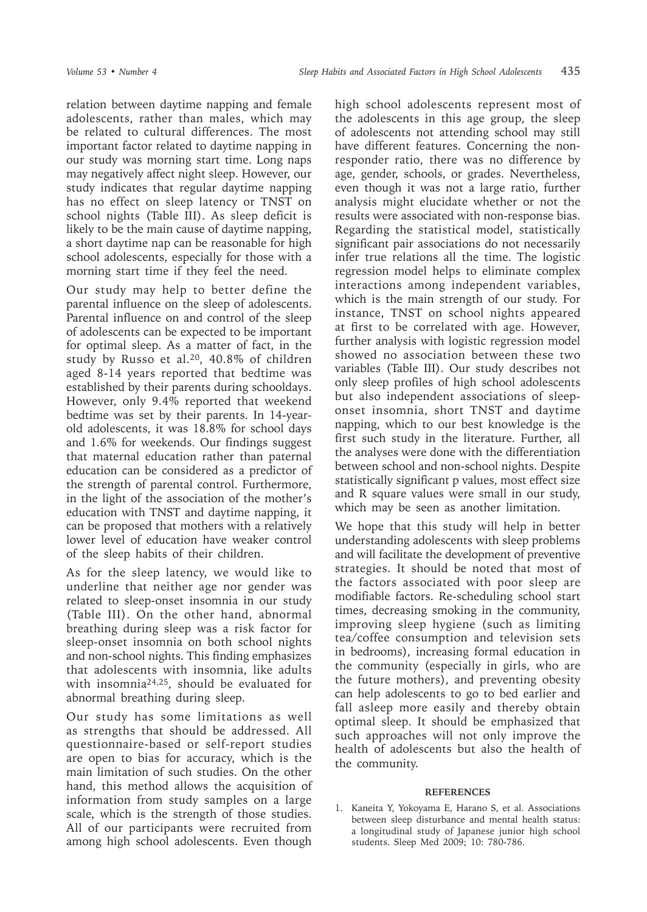relation between daytime napping and female adolescents, rather than males, which may be related to cultural differences. The most important factor related to daytime napping in our study was morning start time. Long naps may negatively affect night sleep. However, our study indicates that regular daytime napping has no effect on sleep latency or TNST on school nights (Table III). As sleep deficit is likely to be the main cause of daytime napping, a short daytime nap can be reasonable for high school adolescents, especially for those with a morning start time if they feel the need.

Our study may help to better define the parental influence on the sleep of adolescents. Parental influence on and control of the sleep of adolescents can be expected to be important for optimal sleep. As a matter of fact, in the study by Russo et al.20, 40.8% of children aged 8-14 years reported that bedtime was established by their parents during schooldays. However, only 9.4% reported that weekend bedtime was set by their parents. In 14-yearold adolescents, it was 18.8% for school days and 1.6% for weekends. Our findings suggest that maternal education rather than paternal education can be considered as a predictor of the strength of parental control. Furthermore, in the light of the association of the mother's education with TNST and daytime napping, it can be proposed that mothers with a relatively lower level of education have weaker control of the sleep habits of their children.

As for the sleep latency, we would like to underline that neither age nor gender was related to sleep-onset insomnia in our study (Table III). On the other hand, abnormal breathing during sleep was a risk factor for sleep-onset insomnia on both school nights and non-school nights. This finding emphasizes that adolescents with insomnia, like adults with insomnia24,25, should be evaluated for abnormal breathing during sleep.

Our study has some limitations as well as strengths that should be addressed. All questionnaire-based or self-report studies are open to bias for accuracy, which is the main limitation of such studies. On the other hand, this method allows the acquisition of information from study samples on a large scale, which is the strength of those studies. All of our participants were recruited from among high school adolescents. Even though

high school adolescents represent most of the adolescents in this age group, the sleep of adolescents not attending school may still have different features. Concerning the nonresponder ratio, there was no difference by age, gender, schools, or grades. Nevertheless, even though it was not a large ratio, further analysis might elucidate whether or not the results were associated with non-response bias. Regarding the statistical model, statistically significant pair associations do not necessarily infer true relations all the time. The logistic regression model helps to eliminate complex interactions among independent variables, which is the main strength of our study. For instance, TNST on school nights appeared at first to be correlated with age. However, further analysis with logistic regression model showed no association between these two variables (Table III). Our study describes not only sleep profiles of high school adolescents but also independent associations of sleeponset insomnia, short TNST and daytime napping, which to our best knowledge is the first such study in the literature. Further, all the analyses were done with the differentiation between school and non-school nights. Despite statistically significant p values, most effect size and R square values were small in our study, which may be seen as another limitation.

We hope that this study will help in better understanding adolescents with sleep problems and will facilitate the development of preventive strategies. It should be noted that most of the factors associated with poor sleep are modifiable factors. Re-scheduling school start times, decreasing smoking in the community, improving sleep hygiene (such as limiting tea/coffee consumption and television sets in bedrooms), increasing formal education in the community (especially in girls, who are the future mothers), and preventing obesity can help adolescents to go to bed earlier and fall asleep more easily and thereby obtain optimal sleep. It should be emphasized that such approaches will not only improve the health of adolescents but also the health of the community.

#### **REFERENCES**

1. Kaneita Y, Yokoyama E, Harano S, et al. Associations between sleep disturbance and mental health status: a longitudinal study of Japanese junior high school students. Sleep Med 2009; 10: 780-786.